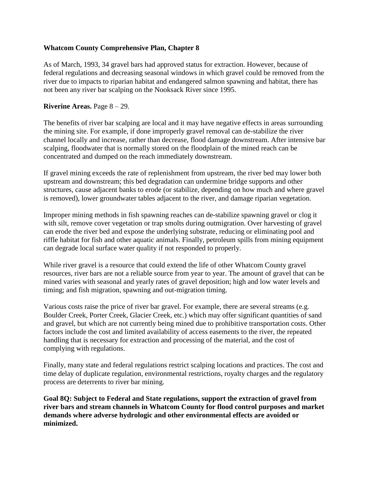## **Whatcom County Comprehensive Plan, Chapter 8**

As of March, 1993, 34 gravel bars had approved status for extraction. However, because of federal regulations and decreasing seasonal windows in which gravel could be removed from the river due to impacts to riparian habitat and endangered salmon spawning and habitat, there has not been any river bar scalping on the Nooksack River since 1995.

## **Riverine Areas.** Page 8 – 29.

The benefits of river bar scalping are local and it may have negative effects in areas surrounding the mining site. For example, if done improperly gravel removal can de-stabilize the river channel locally and increase, rather than decrease, flood damage downstream. After intensive bar scalping, floodwater that is normally stored on the floodplain of the mined reach can be concentrated and dumped on the reach immediately downstream.

If gravel mining exceeds the rate of replenishment from upstream, the river bed may lower both upstream and downstream; this bed degradation can undermine bridge supports and other structures, cause adjacent banks to erode (or stabilize, depending on how much and where gravel is removed), lower groundwater tables adjacent to the river, and damage riparian vegetation.

Improper mining methods in fish spawning reaches can de-stabilize spawning gravel or clog it with silt, remove cover vegetation or trap smolts during outmigration. Over harvesting of gravel can erode the river bed and expose the underlying substrate, reducing or eliminating pool and riffle habitat for fish and other aquatic animals. Finally, petroleum spills from mining equipment can degrade local surface water quality if not responded to properly.

While river gravel is a resource that could extend the life of other Whatcom County gravel resources, river bars are not a reliable source from year to year. The amount of gravel that can be mined varies with seasonal and yearly rates of gravel deposition; high and low water levels and timing; and fish migration, spawning and out-migration timing.

Various costs raise the price of river bar gravel. For example, there are several streams (e.g. Boulder Creek, Porter Creek, Glacier Creek, etc.) which may offer significant quantities of sand and gravel, but which are not currently being mined due to prohibitive transportation costs. Other factors include the cost and limited availability of access easements to the river, the repeated handling that is necessary for extraction and processing of the material, and the cost of complying with regulations.

Finally, many state and federal regulations restrict scalping locations and practices. The cost and time delay of duplicate regulation, environmental restrictions, royalty charges and the regulatory process are deterrents to river bar mining.

**Goal 8Q: Subject to Federal and State regulations, support the extraction of gravel from river bars and stream channels in Whatcom County for flood control purposes and market demands where adverse hydrologic and other environmental effects are avoided or minimized.**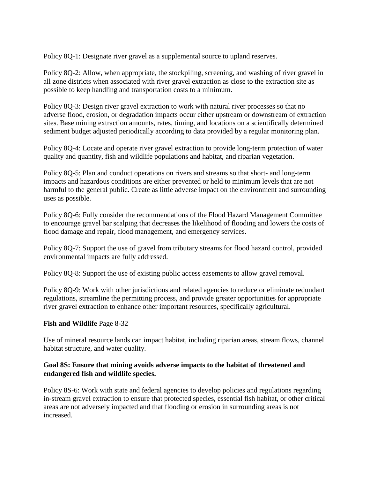Policy 8Q-1: Designate river gravel as a supplemental source to upland reserves.

Policy 8Q-2: Allow, when appropriate, the stockpiling, screening, and washing of river gravel in all zone districts when associated with river gravel extraction as close to the extraction site as possible to keep handling and transportation costs to a minimum.

Policy 8Q-3: Design river gravel extraction to work with natural river processes so that no adverse flood, erosion, or degradation impacts occur either upstream or downstream of extraction sites. Base mining extraction amounts, rates, timing, and locations on a scientifically determined sediment budget adjusted periodically according to data provided by a regular monitoring plan.

Policy 8Q-4: Locate and operate river gravel extraction to provide long-term protection of water quality and quantity, fish and wildlife populations and habitat, and riparian vegetation.

Policy 8Q-5: Plan and conduct operations on rivers and streams so that short- and long-term impacts and hazardous conditions are either prevented or held to minimum levels that are not harmful to the general public. Create as little adverse impact on the environment and surrounding uses as possible.

Policy 8Q-6: Fully consider the recommendations of the Flood Hazard Management Committee to encourage gravel bar scalping that decreases the likelihood of flooding and lowers the costs of flood damage and repair, flood management, and emergency services.

Policy 8Q-7: Support the use of gravel from tributary streams for flood hazard control, provided environmental impacts are fully addressed.

Policy 8Q-8: Support the use of existing public access easements to allow gravel removal.

Policy 8Q-9: Work with other jurisdictions and related agencies to reduce or eliminate redundant regulations, streamline the permitting process, and provide greater opportunities for appropriate river gravel extraction to enhance other important resources, specifically agricultural.

## **Fish and Wildlife** Page 8-32

Use of mineral resource lands can impact habitat, including riparian areas, stream flows, channel habitat structure, and water quality.

## **Goal 8S: Ensure that mining avoids adverse impacts to the habitat of threatened and endangered fish and wildlife species.**

Policy 8S-6: Work with state and federal agencies to develop policies and regulations regarding in-stream gravel extraction to ensure that protected species, essential fish habitat, or other critical areas are not adversely impacted and that flooding or erosion in surrounding areas is not increased.